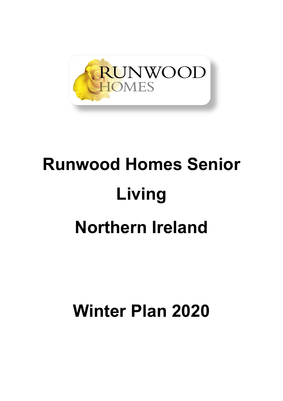

# **Runwood Homes Senior Living Northern Ireland**

**Winter Plan 2020**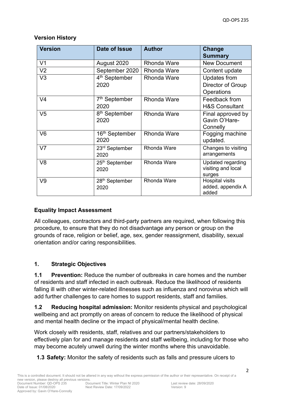| <b>Version</b> | Date of Issue                      | <b>Author</b>      | Change<br><b>Summary</b>                                 |
|----------------|------------------------------------|--------------------|----------------------------------------------------------|
| V <sub>1</sub> | August 2020                        | <b>Rhonda Ware</b> | <b>New Document</b>                                      |
| V <sub>2</sub> | September 2020                     | <b>Rhonda Ware</b> | Content update                                           |
| V <sub>3</sub> | 4 <sup>th</sup> September<br>2020  | <b>Rhonda Ware</b> | <b>Updates from</b><br>Director of Group<br>Operations   |
| V4             | 7 <sup>th</sup> September<br>2020  | <b>Rhonda Ware</b> | Feedback from<br><b>H&amp;S Consultant</b>               |
| V <sub>5</sub> | 8 <sup>th</sup> September<br>2020  | <b>Rhonda Ware</b> | Final approved by<br>Gavin O'Hare-<br>Connelly           |
| V <sub>6</sub> | 16 <sup>th</sup> September<br>2020 | <b>Rhonda Ware</b> | Fogging machine<br>updated.                              |
| V <sub>7</sub> | 23 <sup>rd</sup> September<br>2020 | <b>Rhonda Ware</b> | Changes to visiting<br>arrangements                      |
| V <sub>8</sub> | 25 <sup>th</sup> September<br>2020 | <b>Rhonda Ware</b> | <b>Updated regarding</b><br>visiting and local<br>surges |
| V9             | 28 <sup>th</sup> September<br>2020 | <b>Rhonda Ware</b> | Hospital visits<br>added, appendix A<br>added            |

## **Version History**

# **Equality Impact Assessment**

All colleagues, contractors and third-party partners are required, when following this procedure, to ensure that they do not disadvantage any person or group on the grounds of race, religion or belief, age, sex, gender reassignment, disability, sexual orientation and/or caring responsibilities.

# **1. Strategic Objectives**

**1.1 Prevention:** Reduce the number of outbreaks in care homes and the number of residents and staff infected in each outbreak. Reduce the likelihood of residents falling ill with other winter-related illnesses such as influenza and norovirus which will add further challenges to care homes to support residents, staff and families.

**1.2 Reducing hospital admission:** Monitor residents physical and psychological wellbeing and act promptly on areas of concern to reduce the likelihood of physical and mental health decline or the impact of physical/mental health decline.

Work closely with residents, staff, relatives and our partners/stakeholders to effectively plan for and manage residents and staff wellbeing, including for those who may become acutely unwell during the winter months where this unavoidable.

**1.3 Safety:** Monitor the safety of residents such as falls and pressure ulcers to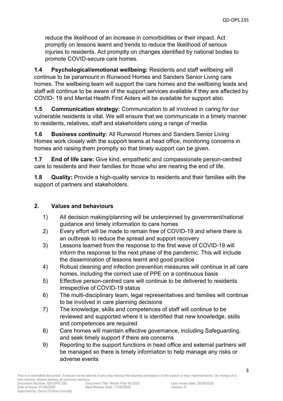reduce the likelihood of an increase in comorbidities or their impact. Act promptly on lessons learnt and trends to reduce the likelihood of serious injuries to residents. Act promptly on changes identified by national bodies to promote COVID-secure care homes.

**1.4 Psychological/emotional wellbeing:** Residents and staff wellbeing will continue to be paramount in Runwood Homes and Sanders Senior Living care homes. The wellbeing team will support the care homes and the wellbeing leads and staff will continue to be aware of the support services available if they are affected by COVID- 19 and Mental Health First Aiders will be available for support also.

**1.5 Communication strategy:** Communication to all involved in caring for our vulnerable residents is vital. We will ensure that we communicate in a timely manner to residents, relatives, staff and stakeholders using a range of media.

**1.6 Business continuity:** All Runwood Homes and Sanders Senior Living Homes work closely with the support teams at head office, monitoring concerns in homes and raising them promptly so that timely support can be given.

**1.7 End of life care:** Give kind, empathetic and compassionate person-centred care to residents and their families for those who are nearing the end of life.

**1.8 Quality:** Provide a high-quality service to residents and their families with the support of partners and stakeholders.

# **2. Values and behaviours**

- 1) All decision making/planning will be underpinned by government/national guidance and timely information to care homes
- 2) Every effort will be made to remain free of COVID-19 and where there is an outbreak to reduce the spread and support recovery
- 3) Lessons learned from the response to the first wave of COVID-19 will inform the response to the next phase of the pandemic. This will include the dissemination of lessons learnt and good practice
- 4) Robust cleaning and infection prevention measures will continue in all care homes, including the correct use of PPE on a continuous basis
- 5) Effective person-centred care will continue to be delivered to residents irrespective of COVID-19 status
- 6) The multi-disciplinary team, legal representatives and families will continue to be involved in care planning decisions
- 7) The knowledge, skills and competences of staff will continue to be reviewed and supported where it is identified that new knowledge, skills and competences are required
- 8) Care homes will maintain effective governance, including Safeguarding, and seek timely support if there are concerns
- 9) Reporting to the support functions in head office and external partners will be managed so there is timely information to help manage any risks or adverse events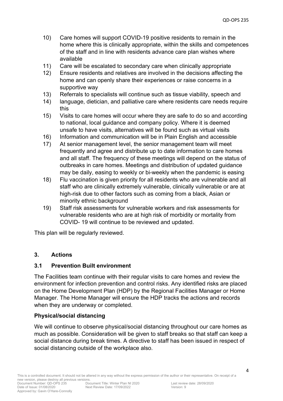- 10) Care homes will support COVID-19 positive residents to remain in the home where this is clinically appropriate, within the skills and competences of the staff and in line with residents advance care plan wishes where available
- 11) Care will be escalated to secondary care when clinically appropriate
- 12) Ensure residents and relatives are involved in the decisions affecting the home and can openly share their experiences or raise concerns in a supportive way
- 13) Referrals to specialists will continue such as tissue viability, speech and
- 14) language, dietician, and palliative care where residents care needs require this
- 15) Visits to care homes will occur where they are safe to do so and according to national, local guidance and company policy. Where it is deemed unsafe to have visits, alternatives will be found such as virtual visits
- 16) Information and communication will be in Plain English and accessible
- 17) At senior management level, the senior management team will meet frequently and agree and distribute up to date information to care homes and all staff. The frequency of these meetings will depend on the status of outbreaks in care homes. Meetings and distribution of updated guidance may be daily, easing to weekly or bi-weekly when the pandemic is easing
- 18) Flu vaccination is given priority for all residents who are vulnerable and all staff who are clinically extremely vulnerable, clinically vulnerable or are at high-risk due to other factors such as coming from a black, Asian or minority ethnic background
- 19) Staff risk assessments for vulnerable workers and risk assessments for vulnerable residents who are at high risk of morbidity or mortality from COVID- 19 will continue to be reviewed and updated.

This plan will be regularly reviewed.

## **3. Actions**

Approved by: Gavin O'Hare-Connolly

## **3.1 Prevention Built environment**

The Facilities team continue with their regular visits to care homes and review the environment for infection prevention and control risks. Any identified risks are placed on the Home Development Plan (HDP) by the Regional Facilities Manager or Home Manager. The Home Manager will ensure the HDP tracks the actions and records when they are underway or completed.

## **Physical/social distancing**

We will continue to observe physical/social distancing throughout our care homes as much as possible. Consideration will be given to staff breaks so that staff can keep a social distance during break times. A directive to staff has been issued in respect of social distancing outside of the workplace also.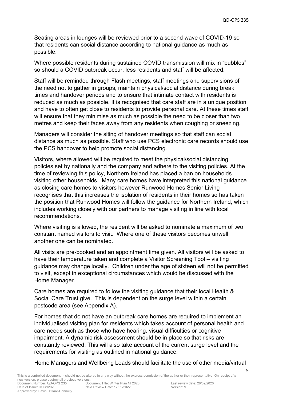Seating areas in lounges will be reviewed prior to a second wave of COVID-19 so that residents can social distance according to national guidance as much as possible.

Where possible residents during sustained COVID transmission will mix in "bubbles" so should a COVID outbreak occur, less residents and staff will be affected.

Staff will be reminded through Flash meetings, staff meetings and supervisions of the need not to gather in groups, maintain physical/social distance during break times and handover periods and to ensure that intimate contact with residents is reduced as much as possible. It is recognised that care staff are in a unique position and have to often get close to residents to provide personal care. At these times staff will ensure that they minimise as much as possible the need to be closer than two metres and keep their faces away from any residents when coughing or sneezing.

Managers will consider the siting of handover meetings so that staff can social distance as much as possible. Staff who use PCS electronic care records should use the PCS handover to help promote social distancing.

Visitors, where allowed will be required to meet the physical/social distancing policies set by nationally and the company and adhere to the visiting policies. At the time of reviewing this policy, Northern Ireland has placed a ban on households visiting other households. Many care homes have interpreted this national guidance as closing care homes to visitors however Runwood Homes Senior Living recognises that this increases the isolation of residents in their homes so has taken the position that Runwood Homes will follow the guidance for Northern Ireland, which includes working closely with our partners to manage visiting in line with local recommendations.

Where visiting is allowed, the resident will be asked to nominate a maximum of two constant named visitors to visit. Where one of these visitors becomes unwell another one can be nominated.

All visits are pre-booked and an appointment time given. All visitors will be asked to have their temperature taken and complete a Visitor Screening Tool – visiting guidance may change locally. Children under the age of sixteen will not be permitted to visit, except in exceptional circumstances which would be discussed with the Home Manager.

Care homes are required to follow the visiting guidance that their local Health & Social Care Trust give. This is dependent on the surge level within a certain postcode area (see Appendix A).

For homes that do not have an outbreak care homes are required to implement an individualised visiting plan for residents which takes account of personal health and care needs such as those who have hearing, visual difficulties or cognitive impairment. A dynamic risk assessment should be in place so that risks are constantly reviewed. This will also take account of the current surge level and the requirements for visiting as outlined in national guidance.

Home Managers and Wellbeing Leads should facilitate the use of other media/virtual

Approved by: Gavin O'Hare-Connolly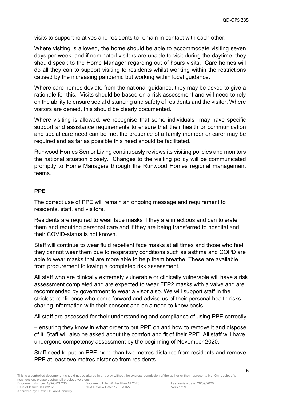visits to support relatives and residents to remain in contact with each other.

Where visiting is allowed, the home should be able to accommodate visiting seven days per week, and if nominated visitors are unable to visit during the daytime, they should speak to the Home Manager regarding out of hours visits. Care homes will do all they can to support visiting to residents whilst working within the restrictions caused by the increasing pandemic but working within local guidance.

Where care homes deviate from the national guidance, they may be asked to give a rationale for this. Visits should be based on a risk assessment and will need to rely on the ability to ensure social distancing and safety of residents and the visitor. Where visitors are denied, this should be clearly documented.

Where visiting is allowed, we recognise that some individuals may have specific support and assistance requirements to ensure that their health or communication and social care need can be met the presence of a family member or carer may be required and as far as possible this need should be facilitated.

Runwood Homes Senior Living continuously reviews its visiting policies and monitors the national situation closely. Changes to the visiting policy will be communicated promptly to Home Managers through the Runwood Homes regional management teams.

#### **PPE**

The correct use of PPE will remain an ongoing message and requirement to residents, staff, and visitors.

Residents are required to wear face masks if they are infectious and can tolerate them and requiring personal care and if they are being transferred to hospital and their COVID-status is not known.

Staff will continue to wear fluid repellent face masks at all times and those who feel they cannot wear them due to respiratory conditions such as asthma and COPD are able to wear masks that are more able to help them breathe. These are available from procurement following a completed risk assessment.

All staff who are clinically extremely vulnerable or clinically vulnerable will have a risk assessment completed and are expected to wear FFP2 masks with a valve and are recommended by government to wear a visor also. We will support staff in the strictest confidence who come forward and advise us of their personal health risks, sharing information with their consent and on a need to know basis.

All staff are assessed for their understanding and compliance of using PPE correctly

– ensuring they know in what order to put PPE on and how to remove it and dispose of it. Staff will also be asked about the comfort and fit of their PPE. All staff will have undergone competency assessment by the beginning of November 2020.

Staff need to put on PPE more than two metres distance from residents and remove PPE at least two metres distance from residents.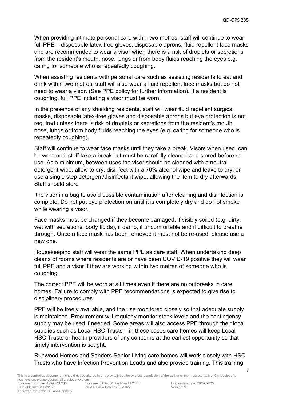When providing intimate personal care within two metres, staff will continue to wear full PPE – disposable latex-free gloves, disposable aprons, fluid repellent face masks and are recommended to wear a visor when there is a risk of droplets or secretions from the resident's mouth, nose, lungs or from body fluids reaching the eyes e.g. caring for someone who is repeatedly coughing.

When assisting residents with personal care such as assisting residents to eat and drink within two metres, staff will also wear a fluid repellent face masks but do not need to wear a visor. (See PPE policy for further information). If a resident is coughing, full PPE including a visor must be worn.

In the presence of any shielding residents, staff will wear fluid repellent surgical masks, disposable latex-free gloves and disposable aprons but eye protection is not required unless there is risk of droplets or secretions from the resident's mouth, nose, lungs or from body fluids reaching the eyes (e.g. caring for someone who is repeatedly coughing).

Staff will continue to wear face masks until they take a break. Visors when used, can be worn until staff take a break but must be carefully cleaned and stored before reuse. As a minimum, between uses the visor should be cleaned with a neutral detergent wipe, allow to dry, disinfect with a 70% alcohol wipe and leave to dry; or use a single step detergent/disinfectant wipe, allowing the item to dry afterwards. Staff should store

the visor in a bag to avoid possible contamination after cleaning and disinfection is complete. Do not put eye protection on until it is completely dry and do not smoke while wearing a visor.

Face masks must be changed if they become damaged, if visibly soiled (e.g. dirty, wet with secretions, body fluids), if damp, if uncomfortable and if difficult to breathe through. Once a face mask has been removed it must not be re-used, please use a new one.

Housekeeping staff will wear the same PPE as care staff. When undertaking deep cleans of rooms where residents are or have been COVID-19 positive they will wear full PPE and a visor if they are working within two metres of someone who is coughing.

The correct PPE will be worn at all times even if there are no outbreaks in care homes. Failure to comply with PPE recommendations is expected to give rise to disciplinary procedures.

PPE will be freely available, and the use monitored closely so that adequate supply is maintained. Procurement will regularly monitor stock levels and the contingency supply may be used if needed. Some areas will also access PPE through their local supplies such as Local HSC Trusts – in these cases care homes will keep Local HSC Trusts or health providers of any concerns at the earliest opportunity so that timely intervention is sought.

Runwood Homes and Sanders Senior Living care homes will work closely with HSC Trusts who have Infection Prevention Leads and also provide training. This training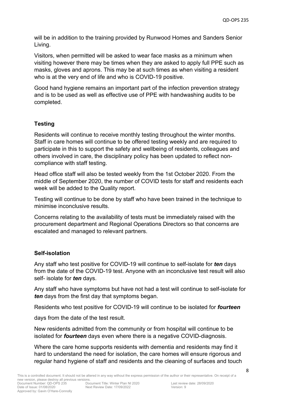will be in addition to the training provided by Runwood Homes and Sanders Senior Living.

Visitors, when permitted will be asked to wear face masks as a minimum when visiting however there may be times when they are asked to apply full PPE such as masks, gloves and aprons. This may be at such times as when visiting a resident who is at the very end of life and who is COVID-19 positive.

Good hand hygiene remains an important part of the infection prevention strategy and is to be used as well as effective use of PPE with handwashing audits to be completed.

## **Testing**

Residents will continue to receive monthly testing throughout the winter months. Staff in care homes will continue to be offered testing weekly and are required to participate in this to support the safety and wellbeing of residents, colleagues and others involved in care, the disciplinary policy has been updated to reflect noncompliance with staff testing.

Head office staff will also be tested weekly from the 1st October 2020. From the middle of September 2020, the number of COVID tests for staff and residents each week will be added to the Quality report.

Testing will continue to be done by staff who have been trained in the technique to minimise inconclusive results.

Concerns relating to the availability of tests must be immediately raised with the procurement department and Regional Operations Directors so that concerns are escalated and managed to relevant partners.

## **Self-isolation**

Any staff who test positive for COVID-19 will continue to self-isolate for *ten* days from the date of the COVID-19 test. Anyone with an inconclusive test result will also self- isolate for *ten* days.

Any staff who have symptoms but have not had a test will continue to self-isolate for *ten* days from the first day that symptoms began.

Residents who test positive for COVID-19 will continue to be isolated for *fourteen*

days from the date of the test result.

New residents admitted from the community or from hospital will continue to be isolated for *fourteen* days even where there is a negative COVID-diagnosis.

Where the care home supports residents with dementia and residents may find it hard to understand the need for isolation, the care homes will ensure rigorous and regular hand hygiene of staff and residents and the cleaning of surfaces and touch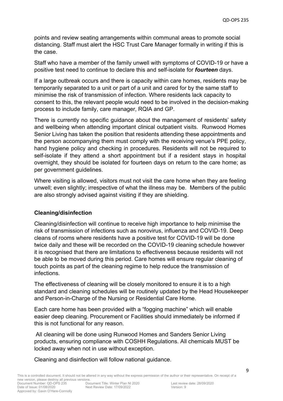points and review seating arrangements within communal areas to promote social distancing. Staff must alert the HSC Trust Care Manager formally in writing if this is the case.

Staff who have a member of the family unwell with symptoms of COVID-19 or have a positive test need to continue to declare this and self-isolate for *fourteen* days.

If a large outbreak occurs and there is capacity within care homes, residents may be temporarily separated to a unit or part of a unit and cared for by the same staff to minimise the risk of transmission of infection. Where residents lack capacity to consent to this, the relevant people would need to be involved in the decision-making process to include family, care manager, RQIA and GP.

There is currently no specific guidance about the management of residents' safety and wellbeing when attending important clinical outpatient visits. Runwood Homes Senior Living has taken the position that residents attending these appointments and the person accompanying them must comply with the receiving venue's PPE policy, hand hygiene policy and checking in procedures. Residents will not be required to self-isolate if they attend a short appointment but if a resident stays in hospital overnight, they should be isolated for fourteen days on return to the care home; as per government guidelines.

Where visiting is allowed, visitors must not visit the care home when they are feeling unwell; even slightly; irrespective of what the illness may be. Members of the public are also strongly advised against visiting if they are shielding.

## **Cleaning/disinfection**

Cleaning/disinfection will continue to receive high importance to help minimise the risk of transmission of infections such as norovirus, influenza and COVID-19. Deep cleans of rooms where residents have a positive test for COVID-19 will be done twice daily and these will be recorded on the COVID-19 cleaning schedule however it is recognised that there are limitations to effectiveness because residents will not be able to be moved during this period. Care homes will ensure regular cleaning of touch points as part of the cleaning regime to help reduce the transmission of infections.

The effectiveness of cleaning will be closely monitored to ensure it is to a high standard and cleaning schedules will be routinely updated by the Head Housekeeper and Person-in-Charge of the Nursing or Residential Care Home.

Each care home has been provided with a "fogging machine" which will enable easier deep cleaning. Procurement or Facilities should immediately be informed if this is not functional for any reason.

All cleaning will be done using Runwood Homes and Sanders Senior Living products, ensuring compliance with COSHH Regulations. All chemicals MUST be locked away when not in use without exception.

Cleaning and disinfection will follow national guidance.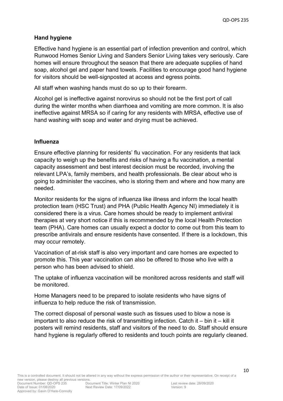## **Hand hygiene**

Effective hand hygiene is an essential part of infection prevention and control, which Runwood Homes Senior Living and Sanders Senior Living takes very seriously. Care homes will ensure throughout the season that there are adequate supplies of hand soap, alcohol gel and paper hand towels. Facilities to encourage good hand hygiene for visitors should be well-signposted at access and egress points.

All staff when washing hands must do so up to their forearm.

Alcohol gel is ineffective against norovirus so should not be the first port of call during the winter months when diarrhoea and vomiting are more common. It is also ineffective against MRSA so if caring for any residents with MRSA, effective use of hand washing with soap and water and drying must be achieved.

#### **Influenza**

Ensure effective planning for residents' flu vaccination. For any residents that lack capacity to weigh up the benefits and risks of having a flu vaccination, a mental capacity assessment and best interest decision must be recorded, involving the relevant LPA's, family members, and health professionals. Be clear about who is going to administer the vaccines, who is storing them and where and how many are needed.

Monitor residents for the signs of influenza like illness and inform the local health protection team (HSC Trust) and PHA (Public Health Agency NI) immediately it is considered there is a virus. Care homes should be ready to implement antiviral therapies at very short notice if this is recommended by the local Health Protection team (PHA). Care homes can usually expect a doctor to come out from this team to prescribe antivirals and ensure residents have consented. If there is a lockdown, this may occur remotely.

Vaccination of at-risk staff is also very important and care homes are expected to promote this. This year vaccination can also be offered to those who live with a person who has been advised to shield.

The uptake of influenza vaccination will be monitored across residents and staff will be monitored.

Home Managers need to be prepared to isolate residents who have signs of influenza to help reduce the risk of transmission.

The correct disposal of personal waste such as tissues used to blow a nose is important to also reduce the risk of transmitting infection. Catch it – bin it – kill it posters will remind residents, staff and visitors of the need to do. Staff should ensure hand hygiene is regularly offered to residents and touch points are regularly cleaned.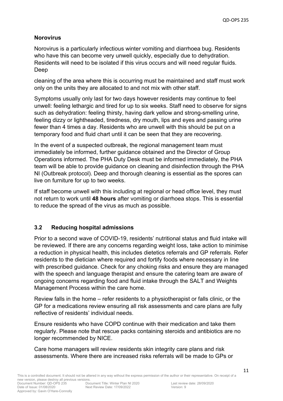# **Norovirus**

Norovirus is a particularly infectious winter vomiting and diarrhoea bug. Residents who have this can become very unwell quickly, especially due to dehydration. Residents will need to be isolated if this virus occurs and will need regular fluids. Deep

cleaning of the area where this is occurring must be maintained and staff must work only on the units they are allocated to and not mix with other staff.

Symptoms usually only last for two days however residents may continue to feel unwell: feeling lethargic and tired for up to six weeks. Staff need to observe for signs such as dehydration: feeling thirsty, having dark yellow and strong-smelling urine, feeling dizzy or lightheaded, tiredness, dry mouth, lips and eyes and passing urine fewer than 4 times a day. Residents who are unwell with this should be put on a temporary food and fluid chart until it can be seen that they are recovering.

In the event of a suspected outbreak, the regional management team must immediately be informed, further guidance obtained and the Director of Group Operations informed. The PHA Duty Desk must be informed immediately, the PHA team will be able to provide guidance on cleaning and disinfection through the PHA NI (Outbreak protocol). Deep and thorough cleaning is essential as the spores can live on furniture for up to two weeks.

If staff become unwell with this including at regional or head office level, they must not return to work until **48 hours** after vomiting or diarrhoea stops. This is essential to reduce the spread of the virus as much as possible.

# **3.2 Reducing hospital admissions**

Prior to a second wave of COVID-19, residents' nutritional status and fluid intake will be reviewed. If there are any concerns regarding weight loss, take action to minimise a reduction in physical health, this includes dietetics referrals and GP referrals. Refer residents to the dietician where required and fortify foods where necessary in line with prescribed guidance. Check for any choking risks and ensure they are managed with the speech and language therapist and ensure the catering team are aware of ongoing concerns regarding food and fluid intake through the SALT and Weights Management Process within the care home.

Review falls in the home – refer residents to a physiotherapist or falls clinic, or the GP for a medications review ensuring all risk assessments and care plans are fully reflective of residents' individual needs.

Ensure residents who have COPD continue with their medication and take them regularly. Please note that rescue packs containing steroids and antibiotics are no longer recommended by NICE.

Care home managers will review residents skin integrity care plans and risk assessments. Where there are increased risks referrals will be made to GPs or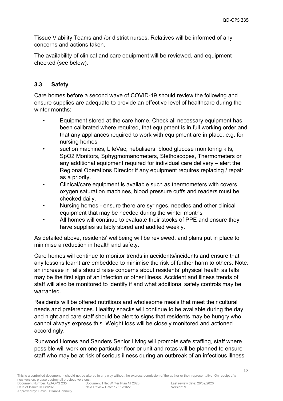Tissue Viability Teams and /or district nurses. Relatives will be informed of any concerns and actions taken.

The availability of clinical and care equipment will be reviewed, and equipment checked (see below).

# **3.3 Safety**

Approved by: Gavin O'Hare-Connolly

Care homes before a second wave of COVID-19 should review the following and ensure supplies are adequate to provide an effective level of healthcare during the winter months:

- Equipment stored at the care home. Check all necessary equipment has been calibrated where required, that equipment is in full working order and that any appliances required to work with equipment are in place, e.g. for nursing homes
- suction machines, LifeVac, nebulisers, blood glucose monitoring kits, SpO2 Monitors, Sphygmomanometers, Stethoscopes, Thermometers or any additional equipment required for individual care delivery – alert the Regional Operations Director if any equipment requires replacing / repair as a priority.
- Clinical/care equipment is available such as thermometers with covers, oxygen saturation machines, blood pressure cuffs and readers must be checked daily.
- Nursing homes ensure there are syringes, needles and other clinical equipment that may be needed during the winter months
- All homes will continue to evaluate their stocks of PPE and ensure they have supplies suitably stored and audited weekly.

As detailed above, residents' wellbeing will be reviewed, and plans put in place to minimise a reduction in health and safety.

Care homes will continue to monitor trends in accidents/incidents and ensure that any lessons learnt are embedded to minimise the risk of further harm to others. Note: an increase in falls should raise concerns about residents' physical health as falls may be the first sign of an infection or other illness. Accident and illness trends of staff will also be monitored to identify if and what additional safety controls may be warranted.

Residents will be offered nutritious and wholesome meals that meet their cultural needs and preferences. Healthy snacks will continue to be available during the day and night and care staff should be alert to signs that residents may be hungry who cannot always express this. Weight loss will be closely monitored and actioned accordingly.

Runwood Homes and Sanders Senior Living will promote safe staffing, staff where possible will work on one particular floor or unit and rotas will be planned to ensure staff who may be at risk of serious illness during an outbreak of an infectious illness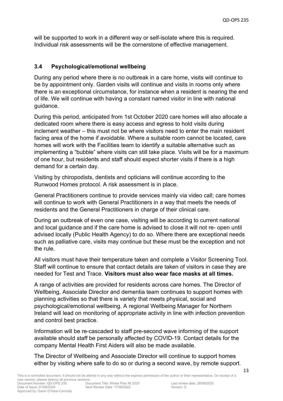will be supported to work in a different way or self-isolate where this is required. Individual risk assessments will be the cornerstone of effective management.

## **3.4 Psychological/emotional wellbeing**

During any period where there is no outbreak in a care home, visits will continue to be by appointment only. Garden visits will continue and visits in rooms only where there is an exceptional circumstance, for instance when a resident is nearing the end of life. We will continue with having a constant named visitor in line with national guidance.

During this period, anticipated from 1st October 2020 care homes will also allocate a dedicated room where there is easy access and egress to hold visits during inclement weather – this must not be where visitors need to enter the main resident facing area of the home if avoidable. Where a suitable room cannot be located, care homes will work with the Facilities team to identify a suitable alternative such as implementing a "bubble" where visits can still take place. Visits will be for a maximum of one hour, but residents and staff should expect shorter visits if there is a high demand for a certain day.

Visiting by chiropodists, dentists and opticians will continue according to the Runwood Homes protocol. A risk assessment is in place.

General Practitioners continue to provide services mainly via video call; care homes will continue to work with General Practitioners in a way that meets the needs of residents and the General Practitioners in charge of their clinical care.

During an outbreak of even one case, visiting will be according to current national and local guidance and if the care home is advised to close it will not re- open until advised locally (Public Health Agency) to do so. Where there are exceptional needs such as palliative care, visits may continue but these must be the exception and not the rule.

All visitors must have their temperature taken and complete a Visitor Screening Tool. Staff will continue to ensure that contact details are taken of visitors in case they are needed for Test and Trace. **Visitors must also wear face masks at all times.**

A range of activities are provided for residents across care homes. The Director of Wellbeing, Associate Director and dementia team continues to support homes with planning activities so that there is variety that meets physical, social and psychological/emotional wellbeing. A regional Wellbeing Manager for Northern Ireland will lead on monitoring of appropriate activity in line with infection prevention and control best practice.

Information will be re-cascaded to staff pre-second wave informing of the support available should staff be personally affected by COVID-19. Contact details for the company Mental Health First Aiders will also be made available.

The Director of Wellbeing and Associate Director will continue to support homes either by visiting where safe to do so or during a second wave, by remote support.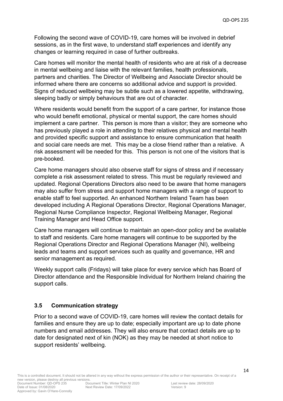Following the second wave of COVID-19, care homes will be involved in debrief sessions, as in the first wave, to understand staff experiences and identify any changes or learning required in case of further outbreaks.

Care homes will monitor the mental health of residents who are at risk of a decrease in mental wellbeing and liaise with the relevant families, health professionals, partners and charities. The Director of Wellbeing and Associate Director should be informed where there are concerns so additional advice and support is provided. Signs of reduced wellbeing may be subtle such as a lowered appetite, withdrawing, sleeping badly or simply behaviours that are out of character.

Where residents would benefit from the support of a care partner, for instance those who would benefit emotional, physical or mental support, the care homes should implement a care partner. This person is more than a visitor; they are someone who has previously played a role in attending to their relatives physical and mental health and provided specific support and assistance to ensure communication that health and social care needs are met. This may be a close friend rather than a relative. A risk assessment will be needed for this. This person is not one of the visitors that is pre-booked.

Care home managers should also observe staff for signs of stress and if necessary complete a risk assessment related to stress. This must be regularly reviewed and updated. Regional Operations Directors also need to be aware that home managers may also suffer from stress and support home managers with a range of support to enable staff to feel supported. An enhanced Northern Ireland Team has been developed including A Regional Operations Director, Regional Operations Manager, Regional Nurse Compliance Inspector, Regional Wellbeing Manager, Regional Training Manager and Head Office support.

Care home managers will continue to maintain an open-door policy and be available to staff and residents. Care home managers will continue to be supported by the Regional Operations Director and Regional Operations Manager (NI), wellbeing leads and teams and support services such as quality and governance, HR and senior management as required.

Weekly support calls (Fridays) will take place for every service which has Board of Director attendance and the Responsible Individual for Northern Ireland chairing the support calls.

## **3.5 Communication strategy**

Prior to a second wave of COVID-19, care homes will review the contact details for families and ensure they are up to date; especially important are up to date phone numbers and email addresses. They will also ensure that contact details are up to date for designated next of kin (NOK) as they may be needed at short notice to support residents' wellbeing.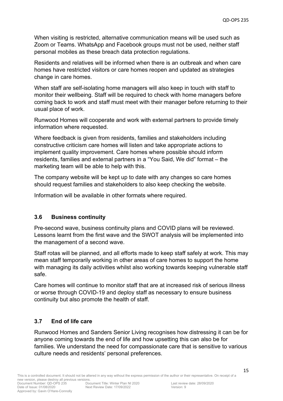When visiting is restricted, alternative communication means will be used such as Zoom or Teams. WhatsApp and Facebook groups must not be used, neither staff personal mobiles as these breach data protection regulations.

Residents and relatives will be informed when there is an outbreak and when care homes have restricted visitors or care homes reopen and updated as strategies change in care homes.

When staff are self-isolating home managers will also keep in touch with staff to monitor their wellbeing. Staff will be required to check with home managers before coming back to work and staff must meet with their manager before returning to their usual place of work.

Runwood Homes will cooperate and work with external partners to provide timely information where requested.

Where feedback is given from residents, families and stakeholders including constructive criticism care homes will listen and take appropriate actions to implement quality improvement. Care homes where possible should inform residents, families and external partners in a "You Said, We did" format – the marketing team will be able to help with this.

The company website will be kept up to date with any changes so care homes should request families and stakeholders to also keep checking the website.

Information will be available in other formats where required.

# **3.6 Business continuity**

Pre-second wave, business continuity plans and COVID plans will be reviewed. Lessons learnt from the first wave and the SWOT analysis will be implemented into the management of a second wave.

Staff rotas will be planned, and all efforts made to keep staff safely at work. This may mean staff temporarily working in other areas of care homes to support the home with managing its daily activities whilst also working towards keeping vulnerable staff safe.

Care homes will continue to monitor staff that are at increased risk of serious illness or worse through COVID-19 and deploy staff as necessary to ensure business continuity but also promote the health of staff.

# **3.7 End of life care**

Runwood Homes and Sanders Senior Living recognises how distressing it can be for anyone coming towards the end of life and how upsetting this can also be for families. We understand the need for compassionate care that is sensitive to various culture needs and residents' personal preferences.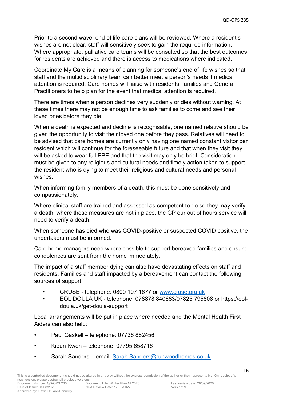Prior to a second wave, end of life care plans will be reviewed. Where a resident's wishes are not clear, staff will sensitively seek to gain the required information. Where appropriate, palliative care teams will be consulted so that the best outcomes for residents are achieved and there is access to medications where indicated.

Coordinate My Care is a means of planning for someone's end of life wishes so that staff and the multidisciplinary team can better meet a person's needs if medical attention is required. Care homes will liaise with residents, families and General Practitioners to help plan for the event that medical attention is required.

There are times when a person declines very suddenly or dies without warning. At these times there may not be enough time to ask families to come and see their loved ones before they die.

When a death is expected and decline is recognisable, one named relative should be given the opportunity to visit their loved one before they pass. Relatives will need to be advised that care homes are currently only having one named constant visitor per resident which will continue for the foreseeable future and that when they visit they will be asked to wear full PPE and that the visit may only be brief. Consideration must be given to any religious and cultural needs and timely action taken to support the resident who is dying to meet their religious and cultural needs and personal wishes.

When informing family members of a death, this must be done sensitively and compassionately.

Where clinical staff are trained and assessed as competent to do so they may verify a death; where these measures are not in place, the GP our out of hours service will need to verify a death.

When someone has died who was COVID-positive or suspected COVID positive, the undertakers must be informed.

Care home managers need where possible to support bereaved families and ensure condolences are sent from the home immediately.

The impact of a staff member dying can also have devastating effects on staff and residents. Families and staff impacted by a bereavement can contact the following sources of support:

- CRUSE telephone: 0800 107 1677 or [www.cruse.org.uk](http://www.cruse.org.uk/)
- EOL DOULA UK telephone: 078878 840663/07825 795808 or https://eoldoula.uk/get-doula-support

Local arrangements will be put in place where needed and the Mental Health First Aiders can also help:

- Paul Gaskell telephone: 07736 882456
- Kieun Kwon telephone: 07795 658716
- Sarah Sanders email: [Sarah.Sanders@runwoodhomes.co.uk](mailto:Sarah.Sanders@runwoodhomes.co.uk)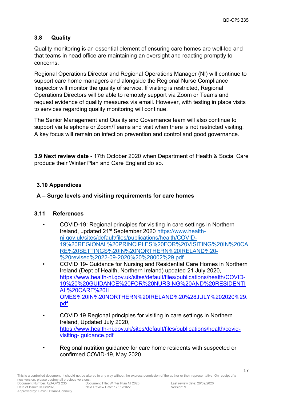# **3.8 Quality**

Quality monitoring is an essential element of ensuring care homes are well-led and that teams in head office are maintaining an oversight and reacting promptly to concerns.

Regional Operations Director and Regional Operations Manager (NI) will continue to support care home managers and alongside the Regional Nurse Compliance Inspector will monitor the quality of service. If visiting is restricted, Regional Operations Directors will be able to remotely support via Zoom or Teams and request evidence of quality measures via email. However, with testing in place visits to services regarding quality monitoring will continue.

The Senior Management and Quality and Governance team will also continue to support via telephone or Zoom/Teams and visit when there is not restricted visiting. A key focus will remain on infection prevention and control and good governance.

**3.9 Next review date** - 17th October 2020 when Department of Health & Social Care produce their Winter Plan and Care England do so.

# **3.10 Appendices**

# **A – Surge levels and visiting requirements for care homes**

## **3.11 References**

- COVID-19: Regional principles for visiting in care settings in Northern Ireland, updated 21st September 2020 [https://www.health](https://www.health-ni.gov.uk/sites/default/files/publications/health/COVID-19%20REGIONAL%20PRINCIPLES%20FOR%20VISITING%20IN%20CARE%20SETTINGS%20IN%20NORTHERN%20IRELAND%20-%20revised%2022-09-2020%20%28002%29.pdf)[ni.gov.uk/sites/default/files/publications/health/COVID-](https://www.health-ni.gov.uk/sites/default/files/publications/health/COVID-19%20REGIONAL%20PRINCIPLES%20FOR%20VISITING%20IN%20CARE%20SETTINGS%20IN%20NORTHERN%20IRELAND%20-%20revised%2022-09-2020%20%28002%29.pdf)[19%20REGIONAL%20PRINCIPLES%20FOR%20VISITING%20IN%20CA](https://www.health-ni.gov.uk/sites/default/files/publications/health/COVID-19%20REGIONAL%20PRINCIPLES%20FOR%20VISITING%20IN%20CARE%20SETTINGS%20IN%20NORTHERN%20IRELAND%20-%20revised%2022-09-2020%20%28002%29.pdf) [RE%20SETTINGS%20IN%20NORTHERN%20IRELAND%20-](https://www.health-ni.gov.uk/sites/default/files/publications/health/COVID-19%20REGIONAL%20PRINCIPLES%20FOR%20VISITING%20IN%20CARE%20SETTINGS%20IN%20NORTHERN%20IRELAND%20-%20revised%2022-09-2020%20%28002%29.pdf) [%20revised%2022-09-2020%20%28002%29.pdf](https://www.health-ni.gov.uk/sites/default/files/publications/health/COVID-19%20REGIONAL%20PRINCIPLES%20FOR%20VISITING%20IN%20CARE%20SETTINGS%20IN%20NORTHERN%20IRELAND%20-%20revised%2022-09-2020%20%28002%29.pdf) • COVID 19- Guidance for Nursing and Residential Care Homes in Northern Ireland (Dept of Health, Northern Ireland) updated 21 July 2020,
	- https://www.health-ni.gov.uk/sites/default/files/publications/health/COVID-19%20%20GUIDANCE%20FOR%20NURSING%20AND%20RESIDENTI AL%20CARE%20H OMES%20IN%20NORTHERN%20IRELAND%20%28JULY%202020%29. pdf
- COVID 19 Regional principles for visiting in care settings in Northern Ireland, Updated July 2020, https://www.health-ni.gov.uk/sites/default/files/publications/health/covidvisiting- guidance.pdf
- Regional nutrition guidance for care home residents with suspected or confirmed COVID-19, May 2020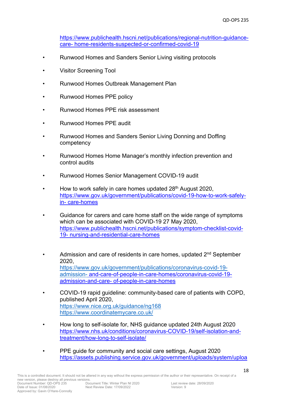https://www.publichealth.hscni.net/publications/regional-nutrition-guidancecare- home-residents-suspected-or-confirmed-covid-19

- Runwood Homes and Sanders Senior Living visiting protocols
- Visitor Screening Tool
- Runwood Homes Outbreak Management Plan
- Runwood Homes PPE policy
- Runwood Homes PPE risk assessment
- Runwood Homes PPE audit
- Runwood Homes and Sanders Senior Living Donning and Doffing competency
- Runwood Homes Home Manager's monthly infection prevention and control audits
- Runwood Homes Senior Management COVID-19 audit
- Howto work safely in care homes updated 28<sup>th</sup> August 2020, [https://www.gov.uk/government/publications/covid-19-how-to-work-safely](https://www.gov.uk/government/publications/covid-19-how-to-work-safely-in-care-homes)[in-](https://www.gov.uk/government/publications/covid-19-how-to-work-safely-in-care-homes) [care-homes](https://www.gov.uk/government/publications/covid-19-how-to-work-safely-in-care-homes)
- Guidance for carers and care home staff on the wide r[ange of symptoms](https://www.publichealth.hscni.net/publications/symptom-checklist-covid-19-nursing-and-residential-care-homes)  which can be associated with COVID-19 27 May 2020, [https://www.publichealth.hscni.net/publications/symptom-checklist-covid-](https://www.publichealth.hscni.net/publications/symptom-checklist-covid-19-nursing-and-residential-care-homes)[19-](https://www.publichealth.hscni.net/publications/symptom-checklist-covid-19-nursing-and-residential-care-homes) [nursing-and-residential-care-homes](https://www.publichealth.hscni.net/publications/symptom-checklist-covid-19-nursing-and-residential-care-homes)
- Admission and care of residents in care homes, updated 2<sup>nd</sup> September 2020, [https://www.gov.uk/government/publications/coronavirus-covid-19](https://www.gov.uk/government/publications/coronavirus-covid-19-admission-) [admission-](https://www.gov.uk/government/publications/coronavirus-covid-19-admission-) [and-care-of-people-in-care-homes/coronavirus-covid-19](https://www.gov.uk/government/publications/coronavirus-covid-19-admission-and-care-of-people-in-care-homes/coronavirus-covid-19-admission-and-care-of-people-in-care-homes) [admission-and-care-](https://www.gov.uk/government/publications/coronavirus-covid-19-admission-and-care-of-people-in-care-homes/coronavirus-covid-19-admission-and-care-of-people-in-care-homes) [of-people-in-care-homes](https://www.gov.uk/government/publications/coronavirus-covid-19-admission-and-care-of-people-in-care-homes/coronavirus-covid-19-admission-and-care-of-people-in-care-homes)
- COVID-19 rapid guideline: community-based care of patients with COPD, published April 2020, <https://www.nice.org.uk/guidance/ng168> <https://www.coordinatemycare.co.uk/>
- How long to self-isolate for, NHS guidance updated 24th August 2020 [https://www.nhs.uk/conditions/coronavirus-COVID-19/self-isolation-and](https://www.nhs.uk/conditions/coronavirus-covid-19/self-isolation-and-treatment/how-long-to-self-isolate/)[treatment/how-long-to-self-isolate/](https://www.nhs.uk/conditions/coronavirus-covid-19/self-isolation-and-treatment/how-long-to-self-isolate/)
- PPE guide for community and social care settings, August 2020 [https://assets.publishing.service.gov.uk/government/uploads/system/uploa](https://assets.publishing.service.gov.uk/government/uploads/system/uploads/attachment_data/file/911188/PHE_PPE_guide_for_community_and_social_care_settings_AUG_2020.pdf)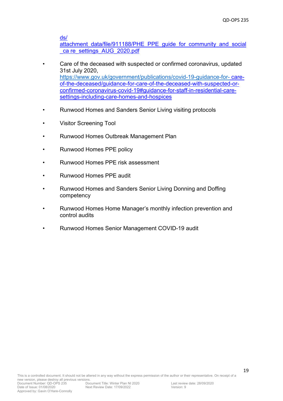19

[ds/](https://assets.publishing.service.gov.uk/government/uploads/system/uploads/attachment_data/file/911188/PHE_PPE_guide_for_community_and_social_care_settings_AUG_2020.pdf)

[attachment\\_data/file/911188/PHE\\_PPE\\_guide\\_for\\_community\\_and\\_social](https://assets.publishing.service.gov.uk/government/uploads/system/uploads/attachment_data/file/911188/PHE_PPE_guide_for_community_and_social_care_settings_AUG_2020.pdf) ca [re\\_settings\\_AUG\\_2020.pdf](https://assets.publishing.service.gov.uk/government/uploads/system/uploads/attachment_data/file/911188/PHE_PPE_guide_for_community_and_social_care_settings_AUG_2020.pdf)

- Care of the deceased with suspected or confirmed coronavirus, updated 31st July 2020, <https://www.gov.uk/government/publications/covid-19-guidance-for-> [care](https://www.gov.uk/government/publications/covid-19-guidance-for-care-of-the-deceased/guidance-for-care-of-the-deceased-with-suspected-or-confirmed-coronavirus-covid-19#guidance-for-staff-in-residential-care-settings-including-care-homes-and-hospices)[of-the-deceased/guidance-for-care-of-the-deceased-with-suspected-or](https://www.gov.uk/government/publications/covid-19-guidance-for-care-of-the-deceased/guidance-for-care-of-the-deceased-with-suspected-or-confirmed-coronavirus-covid-19#guidance-for-staff-in-residential-care-settings-including-care-homes-and-hospices)[confirmed-coronavirus-covid-19#guidance-for-staff-in-residential-care](https://www.gov.uk/government/publications/covid-19-guidance-for-care-of-the-deceased/guidance-for-care-of-the-deceased-with-suspected-or-confirmed-coronavirus-covid-19#guidance-for-staff-in-residential-care-settings-including-care-homes-and-hospices)[settings-including-care-homes-and-hospices](https://www.gov.uk/government/publications/covid-19-guidance-for-care-of-the-deceased/guidance-for-care-of-the-deceased-with-suspected-or-confirmed-coronavirus-covid-19#guidance-for-staff-in-residential-care-settings-including-care-homes-and-hospices)
- Runwood Homes and Sanders Senior Living visiting protocols
- Visitor Screening Tool
- Runwood Homes Outbreak Management Plan
- Runwood Homes PPE policy
- Runwood Homes PPE risk assessment
- Runwood Homes PPE audit
- Runwood Homes and Sanders Senior Living Donning and Doffing competency
- Runwood Homes Home Manager's monthly infection prevention and control audits
- Runwood Homes Senior Management COVID-19 audit